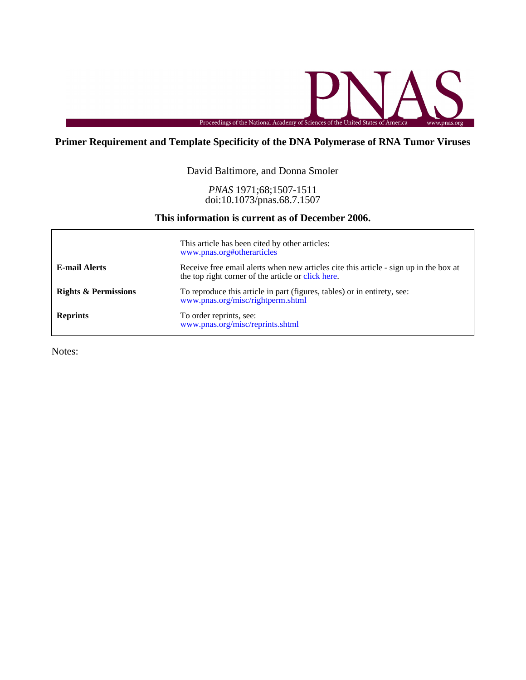

# **Primer Requirement and Template Specificity of the DNA Polymerase of RNA Tumor Viruses**

## David Baltimore, and Donna Smoler

doi:10.1073/pnas.68.7.1507 *PNAS* 1971;68;1507-1511

# **This information is current as of December 2006.**

|                                 | This article has been cited by other articles:<br>www.pnas.org#otherarticles                                                                |
|---------------------------------|---------------------------------------------------------------------------------------------------------------------------------------------|
| <b>E-mail Alerts</b>            | Receive free email alerts when new articles cite this article - sign up in the box at<br>the top right corner of the article or click here. |
| <b>Rights &amp; Permissions</b> | To reproduce this article in part (figures, tables) or in entirety, see:<br>www.pnas.org/misc/rightperm.shtml                               |
| <b>Reprints</b>                 | To order reprints, see:<br>www.pnas.org/misc/reprints.shtml                                                                                 |

Notes: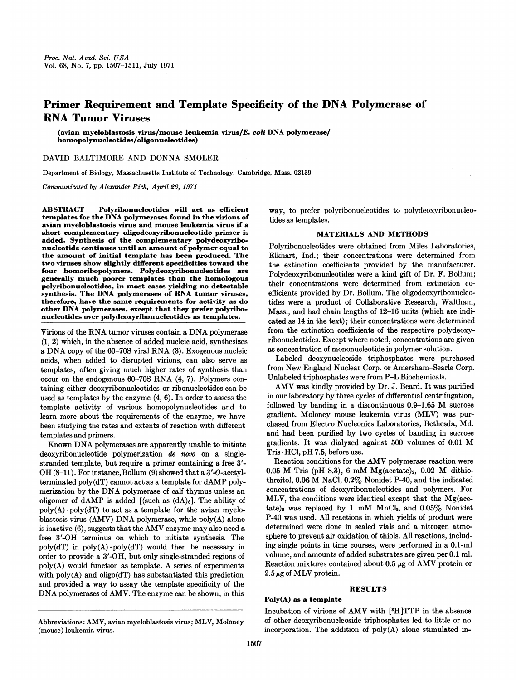# Primer Requirement and Template Specificity of the DNA Polymerase of RNA Tumor Viruses

(avian myeloblastosis virus/mouse leukemia virus/E. coli DNA polymerase/ homopolynucleotides/oligonucleotides)

## DAVID BALTIMORE AND DONNA SMOLER

Department of Biology, Massachusetts Institute of Technology, Cambridge, Mass. 02139

Communicated by Alexander Rich, April 26, 1971

ABSTRACT Polyribonucleotides will act as efficient templates for the DNA polymerases found in the virions of avian myeloblastosis virus and mouse leukemia virus if a short complementary oligodeoxyribonucleotide primer is added. Synthesis of the complementary polydeoxyribonucleotide continues until an amount of polymer equal to the amount of initial template has been produced. The two viruses show slightly different specificities toward the four homoribopolymers. Polydeoxyribonucleotides are generally much poorer templates than the homologous polyribonucleotides, in most cases yielding no detectable synthesis. The DNA polymerases of RNA tumor viruses, therefore, have the same requirements for activity as do other DNA polymerases, except that they prefer polyribonucleotides over polydeoxyribonucleotides as templates.

Virions of the RNA tumor viruses contain <sup>a</sup> DNA polymerase (1, 2) which, in the absence of added nucleic acid, synthesizes <sup>a</sup> DNA copy of the 60-70S viral RNA (3). Exogenous nucleic acids, when added to disrupted virions, can also serve as templates, often giving much higher rates of synthesis than occur on the endogenous 60-70S RNA (4, 7). Polymers containing either deoxyribonucleotides or ribonucleotides can be used as templates by the enzyme (4, 6). In order to assess the template activity of various homopolynucleotides and to learn more about the requirements of the enzyme, we have been studying the rates and extents of reaction with different templates and primers.

Known DNA polymerases are apparently unable to initiate deoxyribonucleotide polymerization de novo on a singlestranded template, but require a primer containing a free <sup>3</sup>'- OH  $(8-11)$ . For instance, Bollum  $(9)$  showed that a 3'-O-acetylterminated poly(dT) cannot act as <sup>a</sup> template for dAMP polymerization by the DNA polymerase of calf thymus unless an oligomer of dAMP is added  $[(such as (dA)<sub>6</sub>].$  The ability of  $poly(A) \cdot poly(dT)$  to act as a template for the avian myeloblastosis virus (AMV) DNA polymerase, while poly(A) alone is inactive (6), suggests that the AMV enzyme may also need <sup>a</sup> free 3'-OH terminus on which to initiate synthesis. The  $poly(dT)$  in  $poly(A) \cdot poly(dT)$  would then be necessary in order to provide a 3'-OH, but only single-stranded regions of poly(A) would function as template. A series of experiments with poly(A) and oligo(dT) has substantiated this prediction and provided a way to assay the template specificity of the DNA polymerases of AMV. The enzyme can be shown, in this

way, to prefer polyribonucleotides to polydeoxvribonucleotides as templates.

#### MATERIALS AND METHODS

Polyribonucleotides were obtained from Miles Laboratories, Elkhart, Ind.; their concentrations were determined from the extinction coefficients provided by the manufacturer. Polydeoxyribonucleotides were a kind gift of Dr. F. Bollum; their concentrations were determined from extinction coefficients provided by Dr. Bollum. The oligodeoxyribonucleotides were a product of Collaborative Research, Waltham, Mass., and had chain lengths of 12-16 units (which are indicated as 14 in the text); their concentrations were determined from the extinction coefficients of the respective polydeoxyribonucleotides. Except where noted, concentrations are given as concentration of mononucleotide in polymer solution.

Labeled deoxynucleoside triphosphates were purchased from New England Nuclear Corp. or Amersham-Searle Corp. Unlabeled triphosphates were from P-L Biochemicals.

AMV was kindly provided by Dr. J. Beard. It was purified in our laboratory by three cycles of differential centrifugation, followed by banding in <sup>a</sup> discontinuous 0.9-1.65 M sucrose gradient. Moloney mouse leukemia virus (MLV) was purchased from Electro Nucleonics Laboratories, Bethesda, Md. and had been purified by two cycles of banding in sucrose gradients. It was dialyzed against <sup>500</sup> volumes of 0.01 M  $Tris \cdot HCl$ , pH 7.5, before use.

Reaction conditions for the AMV polymerase reaction were 0.05 M Tris (pH 8.3), 6 mM  $Mg(actate)_2$ , 0.02 M dithiothreitol, 0.06 M NaCl, 0.2% Nonidet P-40, and the indicated concentrations of deoxyribonucleotides and polymers. For MLV, the conditions were identical except that the Mg(acetate)<sub>2</sub> was replaced by 1 mM MnCl<sub>2</sub>, and  $0.05\%$  Nonidet P40 was used. All reactions in which yields of product were determined were done in sealed vials and a nitrogen atmosphere to prevent air oxidation of thiols. All reactions, including single points in time courses, were performed in a 0.1-ml volume, and amounts of added substrates are given per 0.1 ml. Reaction mixtures contained about  $0.5 \mu$ g of AMV protein or  $2.5 \mu$ g of MLV protein.

## RESULTS

#### Poly(A) as a template

Incubation of virions of AMV with [3H]TTP in the absence of other deoxyribonucleoside triphosphates led to little or no incorporation. The addition of poly(A) alone stimulated in-

Abbreviations: AMV, avian myeloblastosis virus; MLV, Moloney (mouse) leukemia virus.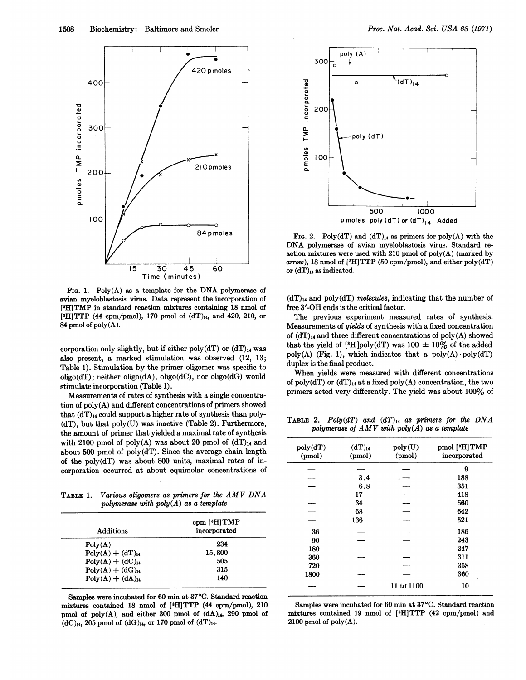

FIG. 1. Poly $(A)$  as a template for the DNA polymerase of avian myeloblastosis virus. Data represent the incorporation of [3H]TMP in standard reaction mixtures containing 18 nmol of ['H]TTP (44 cpm/pmol), 170 pmol of  $(dT)_{14}$ , and 420, 210, or 84 pmol of poly(A).

corporation only slightly, but if either poly(dT) or  $(dT)<sub>14</sub>$  was also present, a marked stimulation was observed (12, 13; Table 1). Stimulation by the primer oligomer was specific to oligo(dT); neither oligo(dA), oligo(dC), nor oligo(dG) would stimulate incorporation (Table 1).-

Measurements of rates of synthesis with a single concentration of poly(A) and different concentrations of primers showed that  $(dT)_{14}$  could support a higher rate of synthesis than poly- $(dT)$ , but that  $poly(U)$  was inactive (Table 2). Furthermore, the amount of primer that yielded a maximal rate of synthesis with 2100 pmol of poly(A) was about 20 pmol of  $(dT)<sub>14</sub>$  and about 500 pmol of poly(dT). Since the average chain length of the poly(dT) was about 800 units, maximal rates of incorporation occurred at about equimolar concentrations of

TABLE 1. Various oligomers as primers for the AMV DNA polymerase with  $poly(A)$  as a template

| Additions          | $cpm$ [ <sup>3</sup> H] TMP<br>incorporated |
|--------------------|---------------------------------------------|
| Poly(A)            | 234                                         |
| $Poly(A) + (dT)14$ | 15,800                                      |
| $Poly(A) + (dC)14$ | 505                                         |
| $Poly(A) + (dG)14$ | 315                                         |
| $Poly(A) + (dA)14$ | 140                                         |

Samples were incubated for 60 min at 37°C. Standard reaction mixtures contained 18 nmol of [3HITTP (44 cpm/pmol), 210 pmol of poly $(A)$ , and either 300 pmol of  $(dA)_{14}$ , 290 pmol of  $(dC)_{14}$ , 205 pmol of  $(dG)_{14}$ , or 170 pmol of  $(dT)_{14}$ .



FIG. 2. Poly(dT) and  $(dT)_{14}$  as primers for poly(A) with the DNA polymerase of avian myeloblastosis virus. Standard reaction mixtures were used with 210 pmol of poly(A) (marked by arrow), 18 nmol of [<sup>3</sup>H]TTP (50 cpm/pmol), and either poly(dT) or  $(dT)_{14}$  as indicated.

 $(dT)<sub>14</sub>$  and poly $(dT)$  molecules, indicating that the number of free 3'-OH ends is the critical factor.

The previous experiment measured rates of synthesis. Measurements of yields of synthesis with a fixed concentration of  $(dT)_{14}$  and three different concentrations of poly(A) showed that the yield of [<sup>3</sup>H]poly(dT) was  $100 \pm 10\%$  of the added poly(A) (Fig. 1), which indicates that a poly(A)  $\text{poly}(d)$ duplex is the final product.

When yields were measured with different concentrations of poly(dT) or  $(dT)_{14}$  at a fixed poly(A) concentration, the two primers acted very differently. The yield was about 100% of

TABLE 2. Poly(dT) and  $(dT)_{14}$  as primers for the DNA polymerase of  $AMV$  with  $poly(A)$  as a template

| poly(dT)<br>(pmol) | $(dT)_{14}$<br>(pmol) | poly(U)<br>(pmol) | pmol ['H]TMP<br>incorporated |
|--------------------|-----------------------|-------------------|------------------------------|
|                    |                       |                   | 9                            |
|                    | 3.4                   |                   | 188                          |
|                    | 6.8                   |                   | 351                          |
|                    | 17                    |                   | 418                          |
|                    | 34                    |                   | 560                          |
|                    | 68                    |                   | 642                          |
|                    | 136                   |                   | 521                          |
| 36                 |                       |                   | 186                          |
| 90                 |                       |                   | 243                          |
| 180                |                       |                   | 247                          |
| 360                |                       |                   | 311                          |
| 720                |                       |                   | 358                          |
| 1800               |                       |                   | 360                          |
|                    |                       | 11 to 1100        | 10                           |

Samples were incubated for 60 min at 37°C. Standard reaction mixtures contained 19 nmol of ['H]TTP (42 cpm/pmol) and  $2100$  pmol of  $poly(A)$ .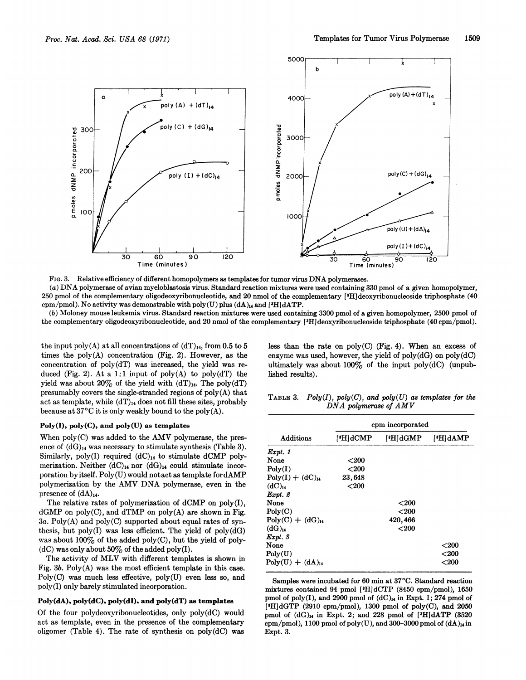

FIG. 3. Relative efficiency of different homopolymers as templates for tumor virus DNA polymerases. (a) DNA polymerase of avian myeloblastosis virus. Standard reaction mixtures were used containing <sup>330</sup> pmol of <sup>a</sup> given homopolymer, 250 pmol of the complementary oligodeoxyribonucleotide, and 20 nmol of the complementary ['H]deoxyribonucleoside triphosphate (40 cpm/pmol). No activity was demonstrable with poly(U) plus  $(dA)_{14}$  and  $[{}^{1}H]dATP$ .

(b) Moloney mouse leukemia virus. Standard reaction mixtures were used containing 3300 pmol of a given homopolymer, 2500 pmol of the complementary oligodeoxyribonucleotide, and 20 nmol of the complementary [3H]deoxyribonucleoside triphosphate (40 cpm/pmol).

the input poly(A) at all concentrations of  $(dT)<sub>14</sub>$ , from 0.5 to 5 times the  $poly(A)$  concentration (Fig. 2). However, as the concentration of poly(dT) was increased, the yield was reduced (Fig. 2). At a 1:1 input of  $poly(A)$  to  $poly(dT)$  the yield was about 20% of the yield with  $(dT)<sub>14</sub>$ . The poly $(dT)$ presumably covers the single-stranded regions of  $poly(A)$  that act as template, while  $(dT)_{14}$  does not fill these sites, probably because at  $37^{\circ}$ C it is only weakly bound to the poly(A).

## Poly(I), poly(C), and poly(U) as templates

When poly(C) was added to the AMV polymerase, the presence of  $(dG)_{14}$  was necessary to stimulate synthesis (Table 3). Similarly, poly(I) required  $(dC)<sub>14</sub>$  to stimulate dCMP polymerization. Neither  $(dC)_{14}$  nor  $(dG)_{14}$  could stimulate incorporation byitself. Poly(U) would notact as template fordAMP polymerization by the AMV DNA polymerase, even in the presence of  $(dA)_{14}$ .

The relative rates of polymerization of dCMP on poly(I),  $dGMP$  on poly(C), and  $dTMP$  on poly(A) are shown in Fig.  $3a.$  Poly(A) and poly(C) supported about equal rates of synthesis, but poly(I) was less efficient. The yield of  $poly(dG)$ was about  $100\%$  of the added poly(C), but the yield of poly-(dC) was only about  $50\%$  of the added poly(I).

The activity of MLV with different templates is shown in Fig.  $3b$ .  $Poly(A)$  was the most efficient template in this case. Poly(C) was much less effective, poly(U) even less so, and poly(I) only barely stimulated incorporation.

## Poly(dA), poly(dC), poly(dI), and poly(dT) as templates

Of the four polydeoxyribonucleotides, only poly(dC) would act as template, even in the presence of the complementary oligomer (Table 4). The rate of synthesis on  $poly(dC)$  was

less than the rate on  $poly(C)$  (Fig. 4). When an excess of enzyme was used, however, the yield of  $poly(dG)$  on  $poly(dC)$ ultimately was about  $100\%$  of the input poly(dC) (unpublished results).

TABLE 3. Poly(I),  $poly(C)$ , and  $poly(U)$  as templates for the DNA polymerase of AMV

|                        | cpm incorporated |          |              |
|------------------------|------------------|----------|--------------|
| <b>Additions</b>       | ['H]dCMP         | ['H]dGMP | ['H]dAMP     |
| $\boldsymbol{Expt.}$ 1 |                  |          |              |
| None                   | ${<}200$         |          |              |
| Poly(I)                | ${<}200$         |          |              |
| $Poly(I) + (dC)14$     | 23,648           |          |              |
| (dC) <sub>14</sub>     | $200$            |          |              |
| $Expt.$ 2              |                  |          |              |
| None                   |                  | ${<}200$ |              |
| Poly(C)                |                  | ${<}200$ |              |
| $Poly(C) + (dG)14$     |                  | 420,466  |              |
| $(dG)_{14}$            |                  | $<$ 200  |              |
| $Expt.$ 3              |                  |          |              |
| None                   |                  |          | ${<}200$     |
| Poly(U)                |                  |          | $<$ 200 $\,$ |
| $Poly(U) + (dA)14$     |                  |          | ${<}200$     |

Samples were incubated for 60 min at 37°C. Standard reaction mixtures contained 94 pmol [3H]dCTP (8450 cpm/pmol), 1650 pmol of poly(I), and 2900 pmol of  $(dC)<sub>14</sub>$  in Expt. 1; 274 pmol of ['H]dGTP (2910 cpm/pmol), 1300 pmol of poly(C), and 2050 pmol of  $(dG)_{14}$  in Expt. 2; and 228 pmol of [<sup>3</sup>H]dATP (3520 cpm/pmol), 1100 pmol of poly(U), and 300-3000 pmol of  $(dA)_{14}$  in Expt. 3.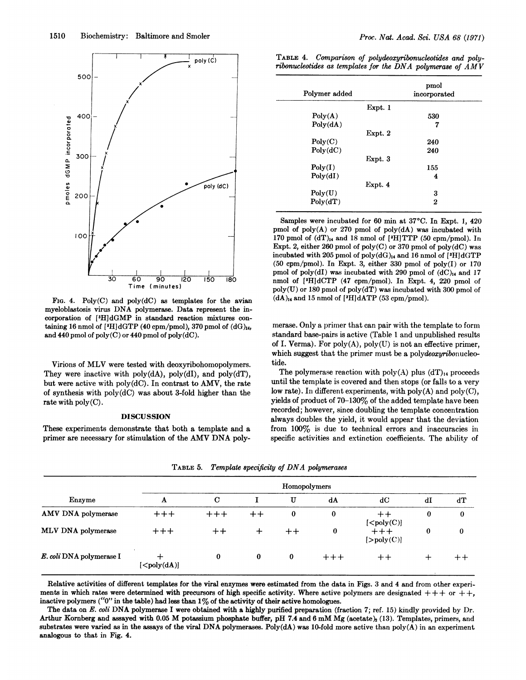

FIG. 4.  $Poly(C)$  and  $poly(dC)$  as templates for the avian myeloblastosis virus DNA polymerase. Data represent the incorporation of [3H]dGMP in standard reaction mixtures containing 16 nmol of  $[{}^3H]dGTP$  (40 cpm/pmol), 370 pmol of  $(dG)_{14}$ , and 440 pmol of poly(C) or 440 pmol of poly(dC).

Virions of MLV were tested with deoxyribohomopolymers. They were inactive with  $poly(dA)$ ,  $poly(dI)$ , and  $poly(dT)$ , but were active with poly(dC). In contrast to AMV, the rate of synthesis with poly(dC) was about 3-fold higher than the rate with poly(C).

#### DISCUSSION

These experiments demonstrate that both a template and a primer are necessary for stimulation of the AMV DNA poly-

| TABLE 4. Comparison of polydeoxyribonucleotides and poly-  |  |  |  |
|------------------------------------------------------------|--|--|--|
| ribonucleotides as templates for the DNA polymerase of AMV |  |  |  |

| Polymer added |         | pmol<br>incorporated |
|---------------|---------|----------------------|
|               | Expt. 1 |                      |
| Poly(A)       |         | 530                  |
| Poly(dA)      |         | 7                    |
|               | Expt. 2 |                      |
| Poly(C)       |         | 240                  |
| Poly(dC)      |         | 240                  |
|               | Expt. 3 |                      |
| Poly(I)       |         | 155                  |
| Poly(dI)      |         | 4                    |
|               | Expt. 4 |                      |
| Poly(U)       |         | 3                    |
| Poly(dT)      |         | 2                    |

Samples were incubated for 60 min at 37°C. In Expt. 1, 420 pmol of  $poly(A)$  or 270 pmol of  $poly(dA)$  was incubated with 170 pmol of  $(dT)_{14}$  and 18 nmol of [<sup>3</sup>H]TTP (50 cpm/pmol). In Expt. 2, either 260 pmol of poly(C) or 370 pmol of poly(dC) was incubated with 205 pmol of poly $(dG)_{14}$  and 16 nmol of [3H]dGTP (50 cpm/pmol). In Expt. 3, either 330 pmol of poly(I) or 170 pmol of poly(dI) was incubated with 290 pmol of  $(dC)<sub>14</sub>$  and 17 nmol of [8HldCTP (47 cpm/pmol). In Expt. 4, 220 pmol of  $poly(U)$  or 180 pmol of  $poly(dT)$  was incubated with 300 pmol of  $(dA)_{14}$  and 15 nmol of [3H]dATP (53 cpm/pmol).

merase. Only a primer that can pair with the template to form standard base-pairs is active (Table <sup>1</sup> and unpublished results of I. Verma). For  $poly(A)$ ,  $poly(U)$  is not an effective primer, which suggest that the primer must be a polydeoxyribonucleotide.

The polymerase reaction with poly(A) plus  $(dT)<sub>14</sub>$  proceeds until the template is covered and then stops (or falls to a very low rate). In different experiments, with poly(A) and poly(C), yields of product of 70-130% of the added template have been recorded; however, since doubling the template concentration always doubles the yield, it would appear that the deviation from 100% is due to technical errors and inaccuracies in specific activities and extinction coefficients. The ability of

| Enzyme                   | Homopolymers                |             |                 |          |          |                                                                       |              |                 |
|--------------------------|-----------------------------|-------------|-----------------|----------|----------|-----------------------------------------------------------------------|--------------|-----------------|
|                          | A                           | $\mathbf C$ |                 | U        | dA       | dC                                                                    | $\mathbf{d}$ | ďТ              |
| AMV DNA polymerase       | $++++$                      | $+++$       | $^{\mathrm{+}}$ | 0        | $\bf{0}$ | [ <poly(c)]< td=""><td><math>\bf{0}</math></td><td>0</td></poly(c)]<> | $\bf{0}$     | 0               |
| MLV DNA polymerase       | $++++$                      | $^+$        | ┿               |          | $\bf{0}$ | $+++$<br>[>poly(C)]                                                   | $\bf{0}$     | $\bf{0}$        |
| E. coli DNA polymerase I | $\left[ < poly(dA) \right]$ | $\bf{0}$    | $\bf{0}$        | $\bf{0}$ | $+ + +$  | $^{\mathrm{+}}$                                                       | ∸            | $^{\mathrm{+}}$ |

TABLE 5. Template specificity of DNA polymerases

Relative activities of different templates for the viral enzymes were estimated from the data in Figs. 3 and 4 and from other experiments in which rates were determined with precursors of high specific activity. Where active polymers are designated  $+++$  or  $++$ , inactive polymers (" $0$ " in the table) had less than  $1\%$  of the activity of their active homologues.

The data on E. coli DNA polymerase I were obtained with a highly purified preparation (fraction 7; ref. 15) kindly provided by Dr. Arthur Kornberg and assayed with 0.05 M potassium phosphate buffer, pH 7.4 and 6 mM Mg (acetate)<sub>2</sub> (13). Templates, primers, and substrates were varied as in the assays of the viral DNA polymerases. Poly(dA) was 10-fold more active than  $poly(A)$  in an experiment analogous to that in Fig. 4.